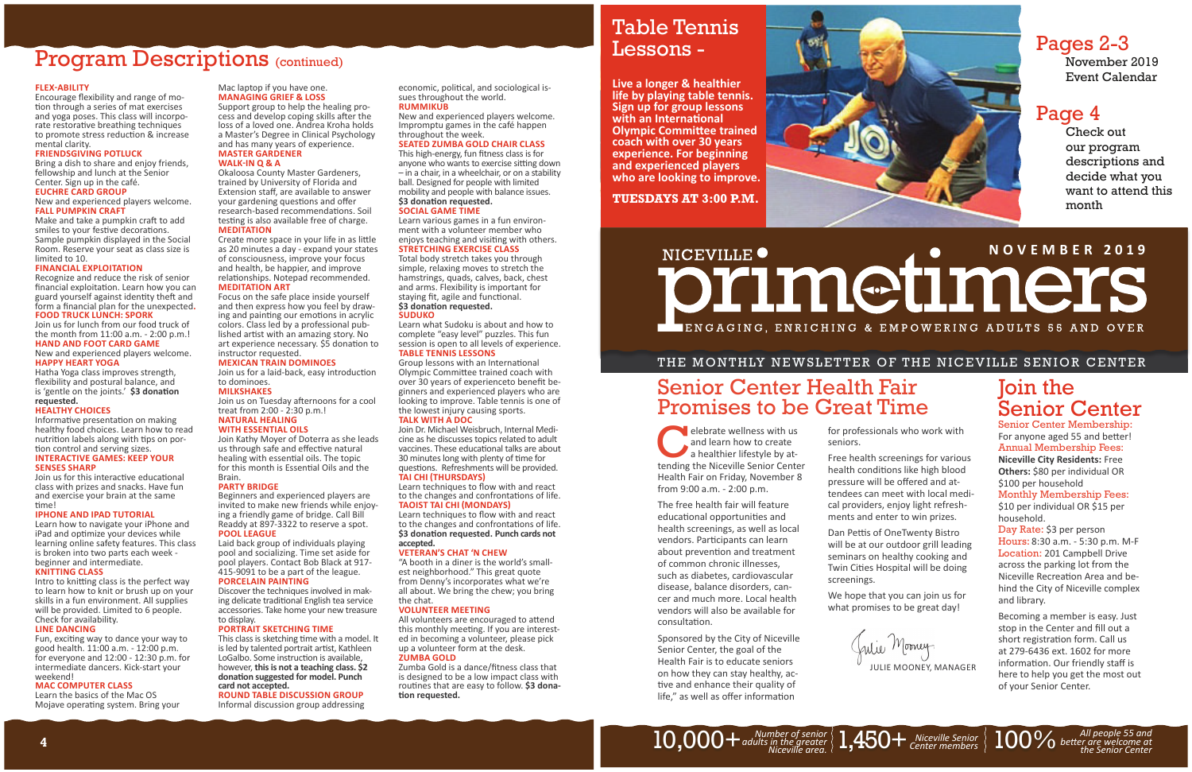### Mac laptop if you have one. **MANAGING GRIEF & LOSS**

Support group to help the healing process and develop coping skills after the loss of a loved one. Andrea Kroha holds a Master's Degree in Clinical Psychology and has many years of experience. **MASTER GARDENER** 

### **WALK-IN Q & A**

Create more space in your life in as little as 20 minutes a day - expand your states of consciousness, improve your focus and health, be happier, and improve relationships. Notepad recommended. **MEDITATION ART**

Okaloosa County Master Gardeners, trained by University of Florida and Extension staff, are available to answer your gardening questions and offer research-based recommendations. Soil testing is also available free of charge. **MEDITATION**

Join us for a laid-back, easy introduction to dominoes.

**MILKSHAKES** Join us on Tuesday afternoons for a cool

### treat from 2:00 - 2:30 p.m.! **NATURAL HEALING**

Focus on the safe place inside yourself and then express how you feel by drawing and painting our emotions in acrylic colors. Class led by a professional published artist with an amazing story. No art experience necessary. \$5 donation to instructor requested.

### **MEXICAN TRAIN DOMINOES**

This class is sketching time with a model. It is led by talented portrait artist, Kathleen LoGalbo. Some instruction is available, however, **this is not a teaching class. \$2 donaƟ on suggested for model. Punch card not accepted.** 

economic, political, and sociological issues throughout the world. **RUMMIKUB**

### **WITH ESSENTIAL OILS**

Join Kathy Moyer of Doterra as she leads us through safe and effective natural healing with essential oils. The topic for this month is Essential Oils and the Brain.

This high-energy, fun fitness class is for anyone who wants to exercise sitting down – in a chair, in a wheelchair, or on a stability ball. Designed for people with limited mobility and people with balance issues. **\$3 donaƟ on requested.**

### **PARTY BRIDGE**

Total body stretch takes you through simple, relaxing moves to stretch the hamstrings, quads, calves, back, chest and arms. Flexibility is important for staying fit, agile and functional. \$3 donation requested.

Beginners and experienced players are invited to make new friends while enjoying a friendly game of bridge. Call Bill Readdy at 897-3322 to reserve a spot. **POOL LEAGUE**

Laid back group of individuals playing pool and socializing. Time set aside for pool players. Contact Bob Black at 917- 415-9091 to be a part of the league.

Group lessons with an International Olympic Committee trained coach with over 30 years of experienceto benefit beginners and experienced players who are looking to improve. Table tennis is one of the lowest injury causing sports. **TALK WITH A DOC**

### **PORCELAIN PAINTING**

Discover the techniques involved in making delicate traditional English tea service accessories. Take home your new treasure to display.

### **PORTRAIT SKETCHING TIME**

Learn techniques to flow with and react to the changes and confrontations of life. \$3 donation requested. Punch cards not **accepted.**

All volunteers are encouraged to attend this monthly meeting. If you are interested in becoming a volunteer, please pick up a volunteer form at the desk. **ZUMBA GOLD**

**ROUND TABLE DISCUSSION GROUP** Informal discussion group addressing Zumba Gold is a dance/fitness class that is designed to be a low impact class with routines that are easy to follow. \$3 dona-**Ɵ on requested.**

Encourage flexibility and range of motion through a series of mat exercises and yoga poses. This class will incorporate restorative breathing techniques to promote stress reduction & increase mental clarity.

New and experienced players welcome. Impromptu games in the café happen throughout the week.

### **SEATED ZUMBA GOLD CHAIR CLASS**

Make and take a pumpkin craft to add smiles to your festive decorations. Sample pumpkin displayed in the Social Room. Reserve your seat as class size is limited to 10.

Recognize and reduce the risk of senior financial exploitation. Learn how you can guard yourself against identity theft and form a financial plan for the unexpected.<br>**FOOD TRUCK LUNCH: SPORK** 

### **SOCIAL GAME TIME**

Learn various games in a fun environment with a volunteer member who enjoys teaching and visiting with others. **STRETCHING EXERCISE CLASS**

flexibility and postural balance, and is 'gentle on the joints.' \$3 donation **requested.**

Informative presentation on making healthy food choices. Learn how to read nutrition labels along with tips on portion control and serving sizes. **INTERACTIVE GAMES: KEEP YOUR** 

### **SUDUKO**

Learn what Sudoku is about and how to complete "easy level" puzzles. This fun session is open to all levels of experience. **TABLE TENNIS LESSONS**

Intro to knitting class is the perfect way to learn how to knit or brush up on your skills in a fun environment. All supplies will be provided. Limited to 6 people. Check for availability.

Fun, exciting way to dance your way to good health. 11:00 a.m. - 12:00 p.m. for everyone and 12:00 - 12:30 p.m. for intermediate dancers. Kick-start your weekend!

Learn the basics of the Mac OS Mojave operating system. Bring your

elebrate wellness with us and learn how to create a healthier lifestyle by attending the Niceville Senior Center Health Fair on Friday, November 8 from 9:00 a.m. - 2:00 p.m.

The free health fair will feature educational opportunities and health screenings, as well as local vendors. Participants can learn about prevention and treatment of common chronic illnesses, such as diabetes, cardiovascular disease, balance disorders, cancer and much more. Local health vendors will also be available for consultation.

Join Dr. Michael Weisbruch, Internal Medicine as he discusses topics related to adult vaccines. These educational talks are about 30 minutes long with plenty of time for questions. Refreshments will be provided. **TAI CHI ΈTHURSDAYSΉ**

Learn techniques to flow with and react to the changes and confrontations of life. **TAOIST TAI CHI (MONDAYS)** 

> Sponsored by the City of Niceville Senior Center, the goal of the Health Fair is to educate seniors on how they can stay healthy, active and enhance their quality of life," as well as offer information

Dan Pettis of OneTwenty Bistro will be at our outdoor grill leading seminars on healthy cooking and Twin Cities Hospital will be doing screenings.

### $10,000+$  adults in the greater  $\langle 1,450+$  *Niceville Senior*  $\langle 1,450+$  *Center members*



Julie Morney. JULIE MOONEY, MANAGER

### **VETERAN'S CHAT 'N CHEW**

"A booth in a diner is the world's smallest neighborhood." This great quote from Denny's incorporates what we're all about. We bring the chew; you bring the chat.

### **VOLUNTEER MEETING**

### Program Descriptions (continued)

### **FLEXͳABILITY**

### **FRIENDSGIVING POTLUCK**

Bring a dish to share and enjoy friends, fellowship and lunch at the Senior Center. Sign up in the café. **EUCHRE CARD GROUP**

### New and experienced players welcome. **FALL PUMPKIN CRAFT**

### **FINANCIAL EXPLOITATION**

Join us for lunch from our food truck of the month from 11:00 a.m. - 2:00 p.m.! **HAND AND FOOT CARD GAME**

New and experienced players welcome. **HAPPY HEART YOGA** Hatha Yoga class improves strength,

### **HEALTHY CHOICES**

### **SENSES SHARP**

Join us for this interactive educational class with prizes and snacks. Have fun and exercise your brain at the same time!

### **IPHONE AND IPAD TUTORIAL**

Learn how to navigate your iPhone and iPad and optimize your devices while learning online safety features. This class is broken into two parts each week beginner and intermediate.

### **KNITTING CLASS**

### **LINE DANCING**

### **MAC COMPUTER CLASS**

**4**

for professionals who work with

seniors.

Free health screenings for various health conditions like high blood pressure will be offered and attendees can meet with local medical providers, enjoy light refreshments and enter to win prizes.

We hope that you can join us for what promises to be great day!

### Pages 2-3

November 2019 Event Calendar

### Page 4

Check out our program descriptions and decide what you want to attend this month

### Join the Senior Center

Senior Center Membership: For anyone aged 55 and better! Annual Membership Fees: **Niceville City Residents:** Free **Others:** \$80 per individual OR \$100 per household

Monthly Membership Fees: \$10 per individual OR \$15 per household.

Day Rate: \$3 per person Hours: 8:30 a.m. - 5:30 p.m. M-F Location: 201 Campbell Drive across the parking lot from the Niceville Recreation Area and behind the City of Niceville complex and library.

Becoming a member is easy. Just stop in the Center and fill out a short registration form. Call us at 279-6436 ext. 1602 for more information. Our friendly staff is here to help you get the most out of your Senior Center.

*Niceville Senior*  $\left\{\right. \begin{array}{c} 100\% \hspace{1.5mm} \textrm{A}$ *ll people 55 and enter members*  $\left\{\right. \begin{array}{c} 100\% \hspace{1.5mm} \textrm{B} \\ 0 \end{array}\right.$  *better are welcome at* 

### Senior Center Health Fair Promises to be Great Time

### Table Tennis Lessons -

**Live a longer & healthier life by playing table tennis. Sign up for group lessons with an International Olympic Committee trained coach with over 30 years experience. For beginning and experienced players who are looking to improve.**

**TUESDAYS AT 3:00 P.M.**

### **NICEVILLE . A DU COMPRETE 2019** NICEVILLE<sup>O</sup> ∎ENGAGING, ENRICHING & EMPOWERING ADULTS 55 AND OVER

### THE MONTHLY NEWSLETTER OF THE NICEVILLE SENIOR CENTER